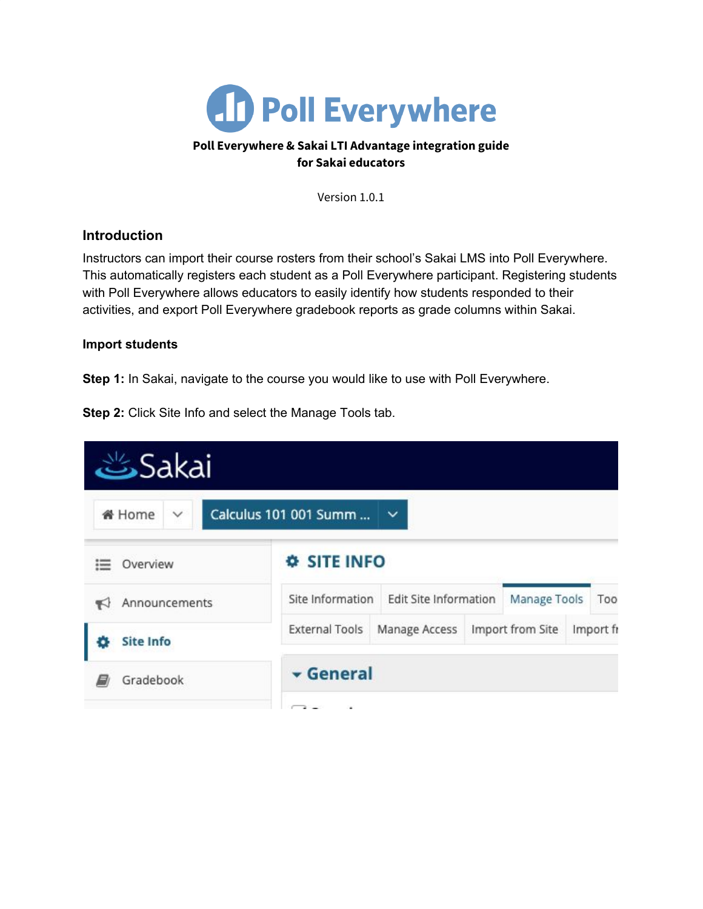

### **Poll Everywhere & Sakai LTI Advantage integration guide for Sakai educators**

Version 1.0.1

## **Introduction**

Instructors can import their course rosters from their school's Sakai LMS into Poll Everywhere. This automatically registers each student as a Poll Everywhere participant. Registering students with Poll Everywhere allows educators to easily identify how students responded to their activities, and export Poll Everywhere gradebook reports as grade columns within Sakai.

#### **Import students**

**Step 1:** In Sakai, navigate to the course you would like to use with Poll Everywhere.

**Step 2:** Click Site Info and select the Manage Tools tab.

| انگ                           |                                         |                                       |                               |     |  |  |
|-------------------------------|-----------------------------------------|---------------------------------------|-------------------------------|-----|--|--|
| <b>备 Home</b><br>$\checkmark$ | Calculus 101 001 Summ                   | $\checkmark$                          |                               |     |  |  |
| Overview<br>這                 | <b><i><u><b>¢</b></u></i></b> SITE INFO |                                       |                               |     |  |  |
| Announcements                 | Site Information                        | Edit Site Information<br>Manage Tools |                               | Too |  |  |
| <b>Site Info</b>              | <b>External Tools</b>                   | Manage Access                         | Import from Site<br>Import fr |     |  |  |
| Gradebook                     | General                                 |                                       |                               |     |  |  |
|                               |                                         |                                       |                               |     |  |  |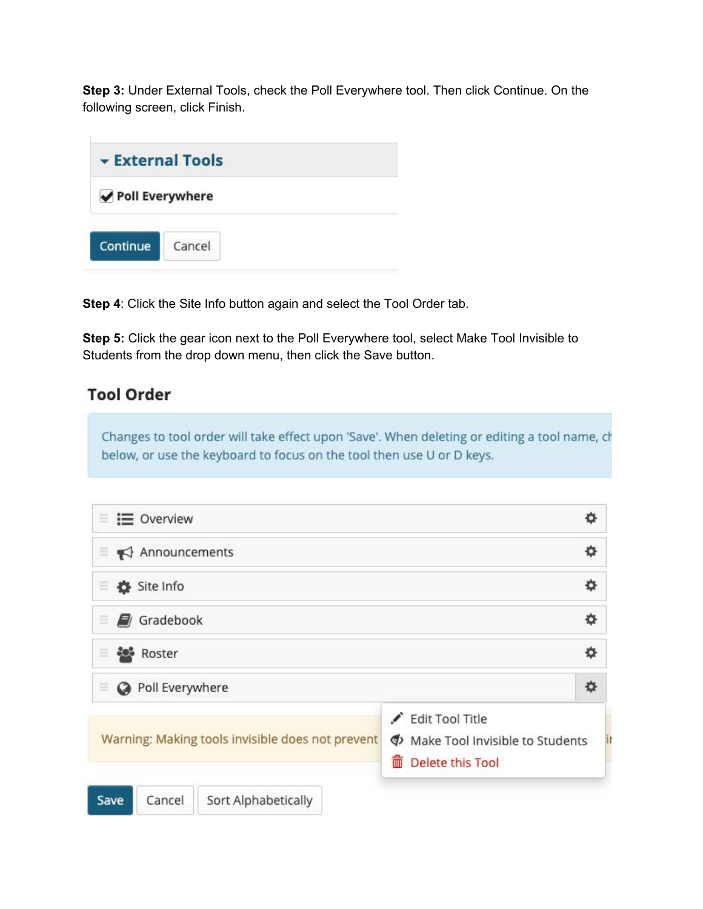**Step 3:** Under External Tools, check the Poll Everywhere tool. Then click Continue. On the following screen, click Finish.



**Step 4**: Click the Site Info button again and select the Tool Order tab.

**Step 5:** Click the gear icon next to the Poll Everywhere tool, select Make Tool Invisible to Students from the drop down menu, then click the Save button.

# **Tool Order**

Changes to tool order will take effect upon 'Save'. When deleting or editing a tool name, ch below, or use the keyboard to focus on the tool then use U or D keys.

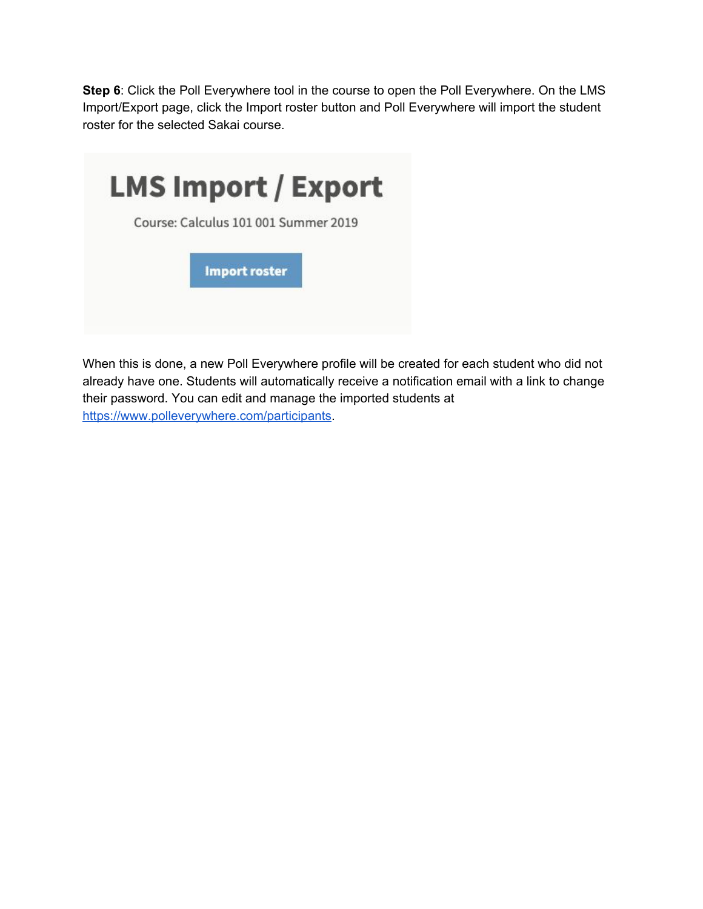**Step 6**: Click the Poll Everywhere tool in the course to open the Poll Everywhere. On the LMS Import/Export page, click the Import roster button and Poll Everywhere will import the student roster for the selected Sakai course.



When this is done, a new Poll Everywhere profile will be created for each student who did not already have one. Students will automatically receive a notification email with a link to change their password. You can edit and manage the imported students at [https://www.polleverywhere.com/participants.](https://www.polleverywhere.com/participants)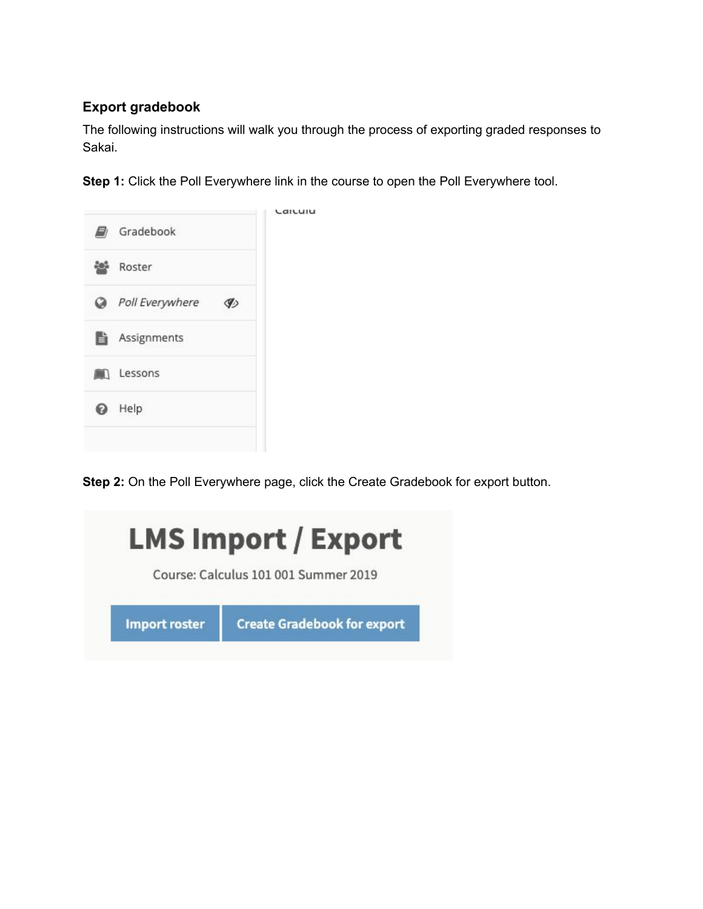# **Export gradebook**

The following instructions will walk you through the process of exporting graded responses to Sakai.

**Step 1:** Click the Poll Everywhere link in the course to open the Poll Everywhere tool.



**Step 2:** On the Poll Everywhere page, click the Create Gradebook for export button.

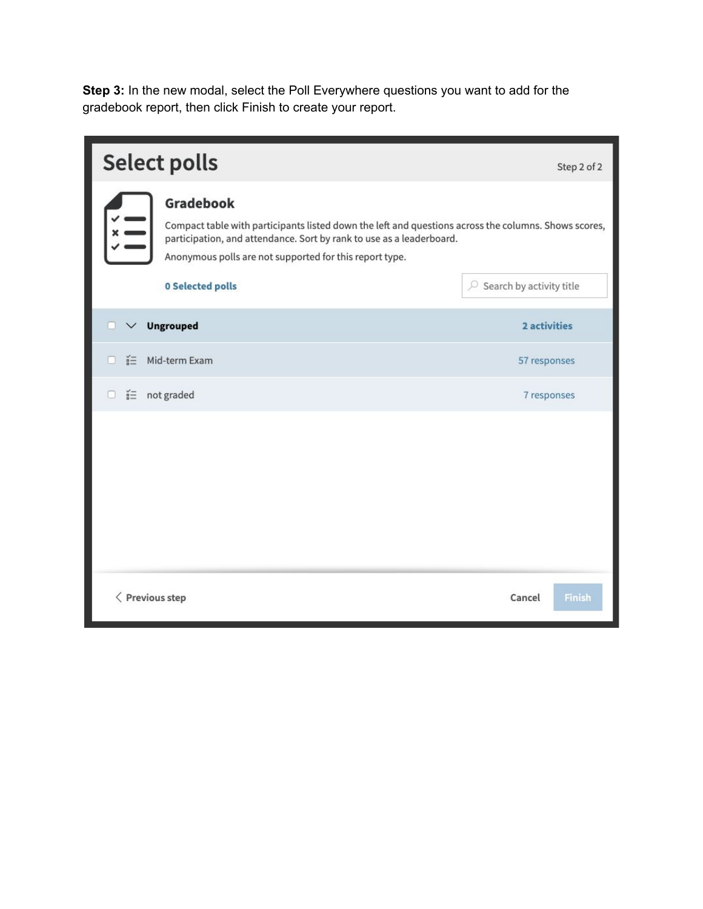**Step 3:** In the new modal, select the Poll Everywhere questions you want to add for the gradebook report, then click Finish to create your report.

|                         | <b>Select polls</b>                                                                                                                                                                                                                                                             | Step 2 of 2                        |  |  |
|-------------------------|---------------------------------------------------------------------------------------------------------------------------------------------------------------------------------------------------------------------------------------------------------------------------------|------------------------------------|--|--|
|                         | Gradebook<br>Compact table with participants listed down the left and questions across the columns. Shows scores,<br>participation, and attendance. Sort by rank to use as a leaderboard.<br>Anonymous polls are not supported for this report type.<br><b>0 Selected polls</b> | $\oslash$ Search by activity title |  |  |
| п<br>$\checkmark$       | <b>Ungrouped</b>                                                                                                                                                                                                                                                                | 2 activities                       |  |  |
| n                       | ≦ Mid-term Exam                                                                                                                                                                                                                                                                 | 57 responses                       |  |  |
| $\hfill\square$         | $i =$ not graded                                                                                                                                                                                                                                                                | 7 responses                        |  |  |
|                         |                                                                                                                                                                                                                                                                                 |                                    |  |  |
| $\langle$ Previous step |                                                                                                                                                                                                                                                                                 | Cancel<br>Finish                   |  |  |